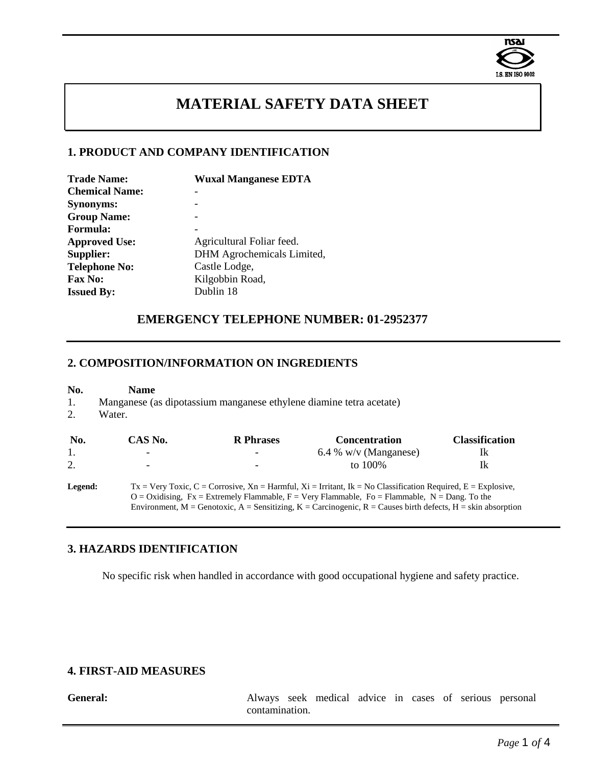

# **MATERIAL SAFETY DATA SHEET**

# **1. PRODUCT AND COMPANY IDENTIFICATION**

| <b>Wuxal Manganese EDTA</b> |
|-----------------------------|
|                             |
|                             |
|                             |
|                             |
| Agricultural Foliar feed.   |
| DHM Agrochemicals Limited,  |
| Castle Lodge,               |
| Kilgobbin Road,             |
| Dublin 18                   |
|                             |

# **EMERGENCY TELEPHONE NUMBER: 01-2952377**

#### **2. COMPOSITION/INFORMATION ON INGREDIENTS**

| No.<br>1.<br>2. | <b>Name</b><br>Manganese (as dipotassium manganese ethylene diamine tetra acetate)<br>Water. |                  |                                                                                                                                                                                                                                                                                                                                                 |                       |
|-----------------|----------------------------------------------------------------------------------------------|------------------|-------------------------------------------------------------------------------------------------------------------------------------------------------------------------------------------------------------------------------------------------------------------------------------------------------------------------------------------------|-----------------------|
| No.             | CAS No.                                                                                      | <b>R</b> Phrases | <b>Concentration</b>                                                                                                                                                                                                                                                                                                                            | <b>Classification</b> |
| 1.              |                                                                                              |                  | 6.4 % w/v (Manganese)                                                                                                                                                                                                                                                                                                                           | Ik                    |
| 2.              |                                                                                              |                  | to 100%                                                                                                                                                                                                                                                                                                                                         | Ik                    |
| Legend:         |                                                                                              |                  | $Tx = V$ ery Toxic, C = Corrosive, Xn = Harmful, Xi = Irritant, Ik = No Classification Required, E = Explosive,<br>$O = Oxidising$ , $Fx = Extremely Flammable$ , $F = Very Flammable$ , $Fo = Flammable$ , $N = Dang$ . To the<br>Environment, M = Genotoxic, A = Sensitizing, K = Carcinogenic, R = Causes birth defects, H = skin absorption |                       |

# **3. HAZARDS IDENTIFICATION**

No specific risk when handled in accordance with good occupational hygiene and safety practice.

# **4. FIRST-AID MEASURES**

**General:** Always seek medical advice in cases of serious personal contamination.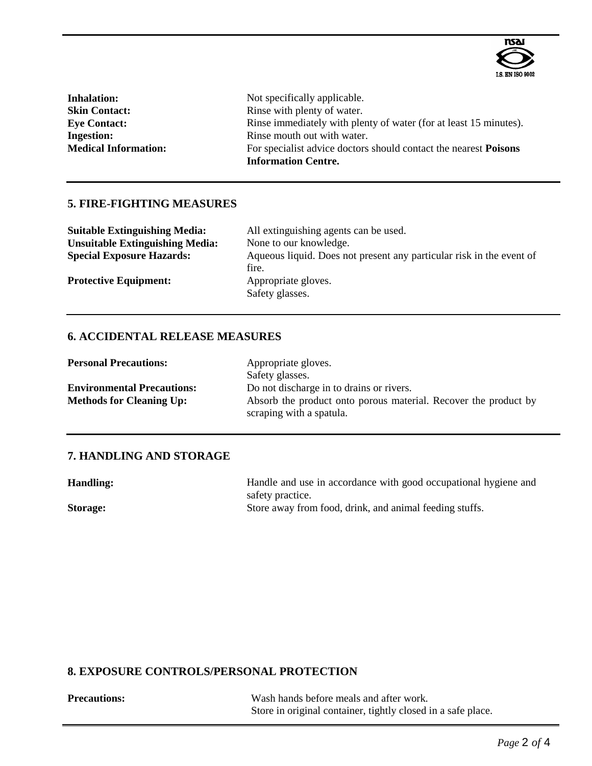

| <b>Inhalation:</b>          | Not specifically applicable.                                            |
|-----------------------------|-------------------------------------------------------------------------|
| <b>Skin Contact:</b>        | Rinse with plenty of water.                                             |
| <b>Eye Contact:</b>         | Rinse immediately with plenty of water (for at least 15 minutes).       |
| <b>Ingestion:</b>           | Rinse mouth out with water.                                             |
| <b>Medical Information:</b> | For specialist advice doctors should contact the nearest <b>Poisons</b> |
|                             | <b>Information Centre.</b>                                              |

# **5. FIRE-FIGHTING MEASURES**

| <b>Suitable Extinguishing Media:</b>   | All extinguishing agents can be used.                                         |
|----------------------------------------|-------------------------------------------------------------------------------|
| <b>Unsuitable Extinguishing Media:</b> | None to our knowledge.                                                        |
| <b>Special Exposure Hazards:</b>       | Aqueous liquid. Does not present any particular risk in the event of<br>fire. |
| <b>Protective Equipment:</b>           | Appropriate gloves.<br>Safety glasses.                                        |

# **6. ACCIDENTAL RELEASE MEASURES**

| <b>Personal Precautions:</b>      | Appropriate gloves.                                             |
|-----------------------------------|-----------------------------------------------------------------|
|                                   | Safety glasses.                                                 |
| <b>Environmental Precautions:</b> | Do not discharge in to drains or rivers.                        |
| <b>Methods for Cleaning Up:</b>   | Absorb the product onto porous material. Recover the product by |
|                                   | scraping with a spatula.                                        |

# **7. HANDLING AND STORAGE**

Handling: Handle and use in accordance with good occupational hygiene and safety practice. **Storage:** Store away from food, drink, and animal feeding stuffs.

# **8. EXPOSURE CONTROLS/PERSONAL PROTECTION**

| <b>Precautions:</b> | Wash hands before meals and after work.                      |
|---------------------|--------------------------------------------------------------|
|                     | Store in original container, tightly closed in a safe place. |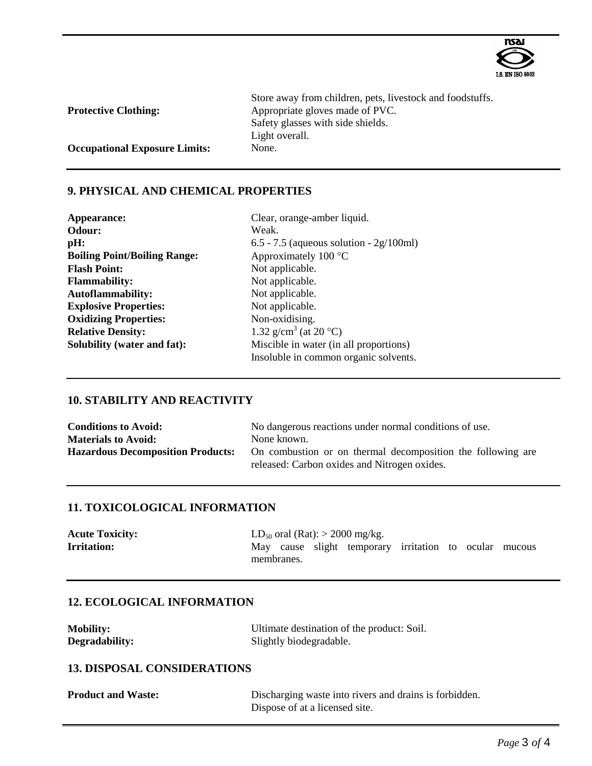

| <b>Protective Clothing:</b>          | Store away from children, pets, livestock and foodstuffs.<br>Appropriate gloves made of PVC. |
|--------------------------------------|----------------------------------------------------------------------------------------------|
|                                      | Safety glasses with side shields.                                                            |
|                                      | Light overall.                                                                               |
| <b>Occupational Exposure Limits:</b> | None.                                                                                        |

### **9. PHYSICAL AND CHEMICAL PROPERTIES**

| Appearance:                         | Clear, orange-amber               |
|-------------------------------------|-----------------------------------|
| Odour:                              | Weak.                             |
| pH:                                 | $6.5 - 7.5$ (aqueous sol          |
| <b>Boiling Point/Boiling Range:</b> | Approximately 100 $\degree$       |
| <b>Flash Point:</b>                 | Not applicable.                   |
| <b>Flammability:</b>                | Not applicable.                   |
| <b>Autoflammability:</b>            | Not applicable.                   |
| <b>Explosive Properties:</b>        | Not applicable.                   |
| <b>Oxidizing Properties:</b>        | Non-oxidising.                    |
| <b>Relative Density:</b>            | 1.32 g/cm <sup>3</sup> (at 20 °C) |
| Solubility (water and fat):         | Miscible in water (in             |
|                                     |                                   |

**Appearance:** Clear, orange-amber liquid. **Odour:** Weak. **pH:** 6.5 - 7.5 (aqueous solution - 2g/100ml) Approximately 100 °C Not applicable. Not applicable. Not applicable. Not applicable. Non-oxidising. Miscible in water (in all proportions) Insoluble in common organic solvents.

## **10. STABILITY AND REACTIVITY**

| <b>Conditions to Avoid:</b>              | No dangerous reactions under normal conditions of use.      |  |  |
|------------------------------------------|-------------------------------------------------------------|--|--|
| <b>Materials to Avoid:</b>               | None known.                                                 |  |  |
| <b>Hazardous Decomposition Products:</b> | On combustion or on thermal decomposition the following are |  |  |
|                                          | released: Carbon oxides and Nitrogen oxides.                |  |  |

#### **11. TOXICOLOGICAL INFORMATION**

| <b>Acute Toxicity:</b> | $LD_{50}$ oral (Rat): > 2000 mg/kg. |            |                                                        |  |  |  |
|------------------------|-------------------------------------|------------|--------------------------------------------------------|--|--|--|
| <b>Irritation:</b>     |                                     |            | May cause slight temporary irritation to ocular mucous |  |  |  |
|                        |                                     | membranes. |                                                        |  |  |  |

# **12. ECOLOGICAL INFORMATION**

**Mobility:** Ultimate destination of the product: Soil. Degradability: Slightly biodegradable.

### **13. DISPOSAL CONSIDERATIONS**

| <b>Product and Waste:</b> | Discharging waste into rivers and drains is forbidden. |
|---------------------------|--------------------------------------------------------|
|                           | Dispose of at a licensed site.                         |